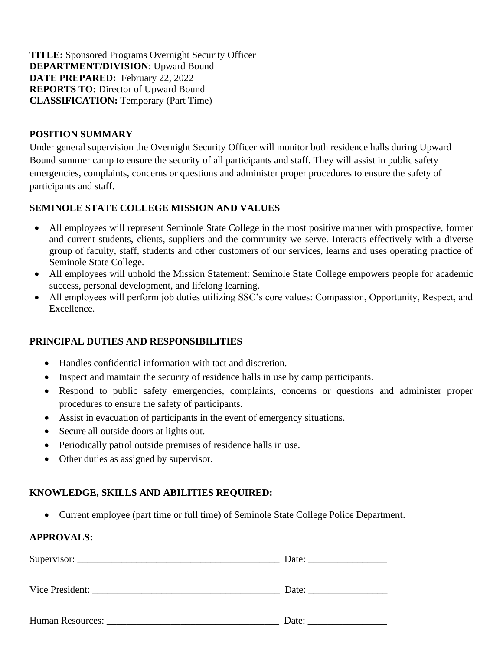**TITLE:** Sponsored Programs Overnight Security Officer **DEPARTMENT/DIVISION**: Upward Bound **DATE PREPARED:** February 22, 2022 **REPORTS TO:** Director of Upward Bound **CLASSIFICATION:** Temporary (Part Time)

# **POSITION SUMMARY**

Under general supervision the Overnight Security Officer will monitor both residence halls during Upward Bound summer camp to ensure the security of all participants and staff. They will assist in public safety emergencies, complaints, concerns or questions and administer proper procedures to ensure the safety of participants and staff.

# **SEMINOLE STATE COLLEGE MISSION AND VALUES**

- All employees will represent Seminole State College in the most positive manner with prospective, former and current students, clients, suppliers and the community we serve. Interacts effectively with a diverse group of faculty, staff, students and other customers of our services, learns and uses operating practice of Seminole State College.
- All employees will uphold the Mission Statement: Seminole State College empowers people for academic success, personal development, and lifelong learning.
- All employees will perform job duties utilizing SSC's core values: Compassion, Opportunity, Respect, and Excellence.

# **PRINCIPAL DUTIES AND RESPONSIBILITIES**

- Handles confidential information with tact and discretion.
- Inspect and maintain the security of residence halls in use by camp participants.
- Respond to public safety emergencies, complaints, concerns or questions and administer proper procedures to ensure the safety of participants.
- Assist in evacuation of participants in the event of emergency situations.
- Secure all outside doors at lights out.
- Periodically patrol outside premises of residence halls in use.
- Other duties as assigned by supervisor.

### **KNOWLEDGE, SKILLS AND ABILITIES REQUIRED:**

• Current employee (part time or full time) of Seminole State College Police Department.

### **APPROVALS:**

|                  | Date: |  |  |
|------------------|-------|--|--|
| Vice President:  | Date: |  |  |
| Human Resources: | Date: |  |  |